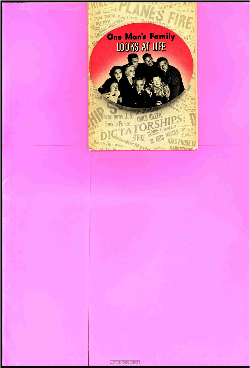# **One Man's Family** LOOKS AT LIFE

**TI KILLER** 

**CONTENT** 

**Altra** 

MIRNI

CUT IN

**ASKS PROBE OF** 

**GIRL OFF** 

Fear Turns U.S

Eyes to Future

Die in Surprise

 $-1$  . The  $-$ 

**P.S. Attn** 

ı.

**HELD FOR MURDER** 

in Auto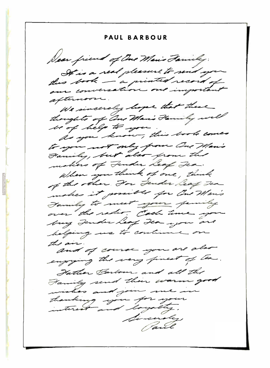PAUL BARBOUR Dear friend of One Mario Family: It is a real pleasure to send you this book - a printed record of our conversation. important afternoon We sincerely hope that there thoughts of One Marie Family will way belg to you to you know, this book comes to you not only from One Man's Family, but also from the makers of Fender Leaf Fea. When you think of one, think of the other . For Juder leaf Fea makes it possible for One Man's Tamily to meet your family over the radio. Cash time yo buy Jender heap Jean you are belping us to continue on the air and of course you are also enjoying the very finest of the Hather Barbour and all the Family send their warm good ishes and join me. thanking you for your Sincerday Paul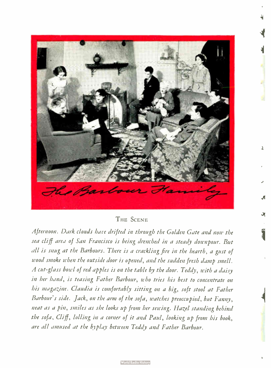

# THE SCENE

课

Afternoon. Dark clouds have drifted in through the Golden Gate and now the sea cliff area of San Francisco is being drenched in a steady downpour. But all is snug at the Barbours. There is a crackling fire in the hearth, a gust of wood smoke when the outside door is opened, and the sudden fresh damp smell. A cut-glass bowl of red apples is on the table by the door. Teddy, with a daisy in her hand, is teasing Father Barbour, who tries his best to concentrate on his magazine. Claudia is comfortably sitting on a big, soft stool at Father Barbour's side. Jack, on the arm of the sofa, watches preoccupied, but Fanny, neat as a pin, smiles as she looks up from her sewing. Hazel standing behind the sofa, Cliff, lolling in a corner of it and Paul, looking up from his book, are all amused at the byplay between Teddy and Father Barbour.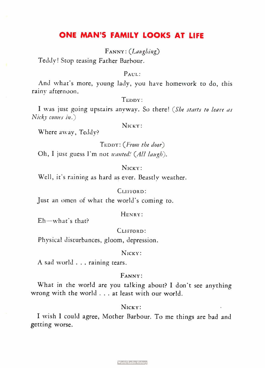# ONE MAN'S FAMILY LOOKS AT LIFE

FANNY: (Laughing)

Teddy! Stop teasing Father Barbour.

# $P_{\text{AUL}}$ .

And what's more, young lady, you have homework to do, this rainy afternoon.

# TEDDY:

I was just going upstairs anyway. So there! (She starts to leave as Nicky comes in.)

NICKY:

Where away, Teddy?

TEDDY: (From the door) Oh, I just guess I'm not wanted! (All laugh).

#### NICKY:

Well, it's raining as hard as ever. Beastly weather.

# CLIFFORD:

Just an omen of what the world's coming to.

#### HENRY:

Eh—what's that?

CLIFFORD:

Physical disturbances, gloom, depression.

#### N<sub>ICKY</sub>:

A sad world . . . raining tears.

## FANNY:

What in the world are you talking about? I don't see anything wrong with the world . . . at least with our world.

# NICKY:

I wish I could agree, Mother Barbour. To me things are bad and getting worse.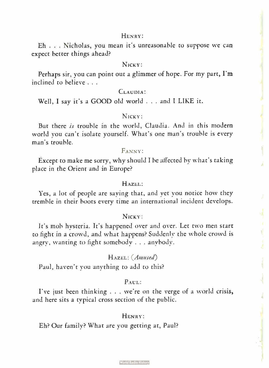Eh . . . Nicholas, you mean it's unreasonable to suppose we can expect better things ahead?

#### Nicky:

Perhaps sir, you can point out a glimmer of hope. For my part, I'm inclined to believe . . .

# CLAUDIA:

Well, I say it's a GOOD old world . . . and I LIKE it.

# NICKY:

But there is trouble in the world, Claudia. And in this modern world you can't isolate yourself. What's one man's trouble is every man's trouble.

# FANNY:

Except to make me sorry, why should I be affected by what's taking place in the Orient and in Europe?

#### HAZEL:

Yes, a lot of people are saying that, and yet you notice how they tremble in their boots every time an international incident develops.

#### NICKY:

It's mob hysteria. It's happened over and over. Let two men start to fight in a crowd, and what happens? Suddenly the whole crowd is angry, wanting to fight somebody . . . anybody.

### HAZEL: (Amused)

Paul, haven't you anything to add to this?

#### PAUL:

I've just been thinking . . . we're on the verge of a world crisis, and here sits a typical cross section of the public.

#### HENRY:

Eh? Our family? What are you getting at, Paul?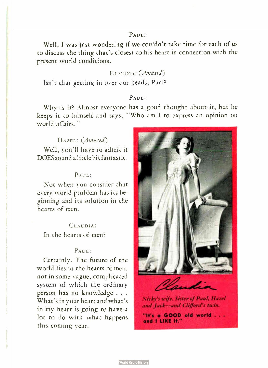## PAUL:

Well, I was just wondering if we couldn't take time for each of us to discuss the thing that's closest to his heart in connection with the present world conditions.

# CLAUDIA: (Amused)

Isn't that getting in over our heads, Paul?

# PAUL:

Why is it? Almost everyone has a good thought about it, but he keeps it to himself and says, "Who am I to express an opinion on world affairs."

# HAZEL: (Amused)

Well, you'll have to admit it DOES sound a little bit fantastic.

#### PAUL:

Not when you consider that every world problem has its beginning and its solution in the hearts of men.

# CLAUDIA:

In the hearts of men?

## PAUL:

Certainly. The future of the world lies in the hearts of men, not in some vague, complicated system of which the ordinary person has no knowledge . . . What's in your heart and what's in my heart is going to have a lot to do with what happens this coming year.



"It's a GOOD old world . . . and I LIKE if."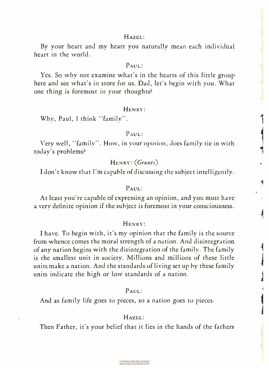By your heart and my heart you naturally mean each individual heart in the world.

# PAUL:

Yes. So why not examine what's in the hearts of this little group here and see what's in store for us. Dad, let's begin with you. What one thing is foremost in your thoughts?

#### HENRY:

Why, Paul, I think "family".

# PAUL:

Very well, "family". How, in your opinion, does family tie in with today's problems?

## HENRY: (Grunts)

<sup>I</sup>don't know that I'm capable of discussing the subject intelligently.

# $P_{\text{AIII}}$ .

At least you're capable of expressing an opinion, and you must have a very definite opinion if the subject is foremost in your consciousness.

#### HENRY:

<sup>I</sup>have. To begin with, it's my opinion that the family is the source from whence comes the moral strength of a nation. And disintegration of any nation begins with the disintegration of the family. The family is the smallest unit in society. Millions and millions of these little units make a nation. And the standards of living set up by these family units indicate the high or low standards of a nation.

#### PAUL:

And as family life goes to pieces, so a nation goes to pieces.

# HAZEL:

Then Father, it's your belief that it lies in the hands of the fathers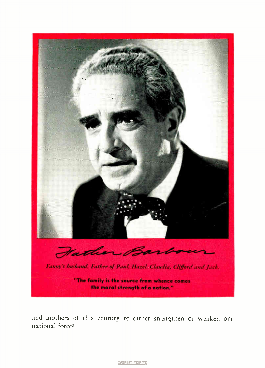

and mothers of this country to either strengthen or weaken our national force?

**World Radio History**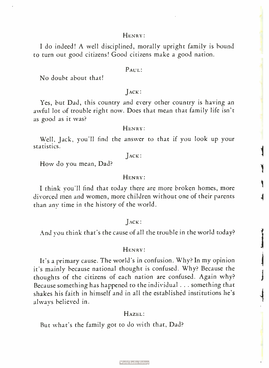I do indeed! A well disciplined, morally upright family is bound to turn out good citizens! Good citizens make a good nation.

#### PAUL:

No doubt about that!

## JACK:

Yes, but Dad, this country and every other country is having an awful lot of trouble right now. Does that mean that family life isn't as good as it was?

#### HENRY:

Well, Jack, you'll find the answer to that if you look up your statistics.

#### $Jac$ :

How do you mean, Dad?

#### HENRY:

I think you'll find that today there are more broken homes, more divorced men and women, more children without one of their parents than any time in the history of the world.

#### JACK:

And you think that's the cause of all the trouble in the world today?

#### HENRY:

It's a primary cause. The world's in confusion. Why? In my opinion it's mainly because national thought is confused. Why? Because the thoughts of the citizens of each nation are confused. Again why? Because something has happened to the individual . . . something that shakes his faith in himself and in all the established institutions he's always believed in.

#### HAZEL:

But what's the family got to do with that, Dad?

**World Radio History**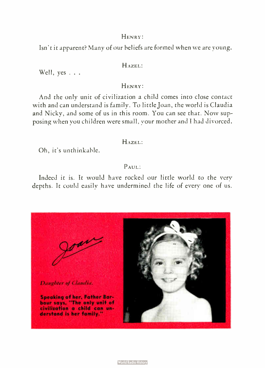Isn't it apparent? Many of our beliefs are formed when we are young.

# HAZEL:

Well, yes . . .

# HENRY:

And the only unit of civilization a child comes into close contact with and can understand is family. To little Joan, the world is Claudia and Nicky, and some of us in this room. You can see that. Now supposing when you children were small, your mother and I had divorced.

# HAZEL:

Oh, it's unthinkable.

# PAUL:

Indeed it is. It would have rocked our little world to the very depths. It could easily have undermined the life of every one of us.

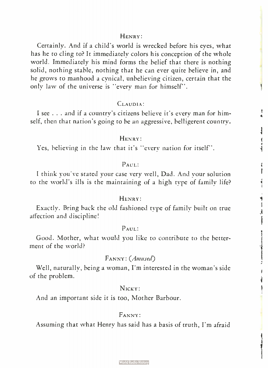Certainly. And if a child's world is wrecked before his eyes, what has he to cling to? It immediately colors his conception of the whole world. Immediately his mind forms the belief that there is nothing solid, nothing stable, nothing that he can ever quite believe in, and he grows to manhood a cynical, unbelieving citizen, certain that the only law of the universe is "every man for himself".

# CLAUDIA:

I see . . . and if a country's citizens believe it's every man for himself, then that nation's going to be an aggressive, belligerent country.

## HENRY:

أ: منك

Ī

博士 Ĵ

Yes, believing in the law that it's "every nation for itself".

#### $P_{AIII}$ :

I think you've stated your case very well, Dad. And your solution to the world's ills is the maintaining of a high type of family life?

#### HENRY:

Exactly. Bring back the old fashioned type of family built on true affection and discipline!

# PAUL:

Good. Mother, what would you like to contribute to the betterment of the world?

# FANNY: (Amused)

Well, naturally, being a woman, I'm interested in the woman's side of the problem.

# NICKY:

And an important side it is too, Mother Barbour,

# FANNY:

Assuming that what Henry has said has a basis of truth, I'm afraid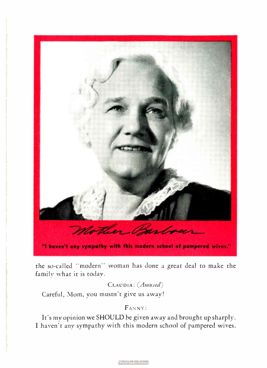

the so-called " modern" woman has done a great deal to make the family what it is today.

# CLAUDIA: (Amused)

Careful, Mom, you mustn't give us away!

# FANNY:

It's my opinion we SHOULD be given away and brought up sharply. I haven't any sympathy with this modern school of pampered wives.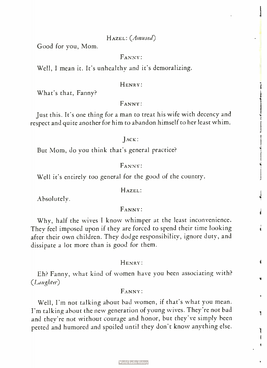#### HAZEL: (Amused)

Good for you, Mom.

## FANNY:

Well, I mean it. It's unhealthy and it's demoralizing.

#### HENRY:

What's that, Fanny?

#### FANNY:

Just this. It's one thing for a man to treat his wife with decency and respect and quite another for him to abandon himself to her least whim.

#### JACK :

But Mom, do you think that's general practice?

## FANNY:

Well it's entirely too general for the good of the country.

#### HAZEL:

Absolutely.

## FANNY:

Why, half the wives I know whimper at the least inconvenience. They feel imposed upon if they are forced to spend their time looking after their own children. They dodge responsibility, ignore duty, and dissipate a lot more than is good for them.

#### HENRY:

Eh? Fanny, what kind of women have you been associating with? (Laughter)

#### FANNY:

Well, I'm not talking about bad women, if that's what you mean. I'm talking about the new generation of young wives. They're not bad and they're not without courage and honor, but they've simply been petted and humored and spoiled until they don't know anything else.

٦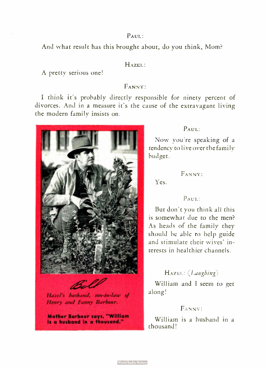# $p_{AIII}$ .

And what result has this brought about, do you think, Mom?

#### HAZEL:

A pretty serious one!

# FANNY:

I think it's probably directly responsible for ninety percent of divorces. And in a measure it's the cause of the extravagant living the modern family insists on.



# Henry and Fanny Barbour. Hazel's husband, son-in-law of

Mother Barbour says. " William is a husband in a thousand."

# PAUL:

Now you're speaking of a tendency to live over the family budget.

# FANNY:

Yes.

# PAUL:

But don't you think all this is somewhat due to the men? As heads of the family they should be able to help guide and stimulate their wives' interests in healthier channels.

# HAZEL: (Laughing)

William and I seem to get along!

# FANNY:

William is a husband in a thousand!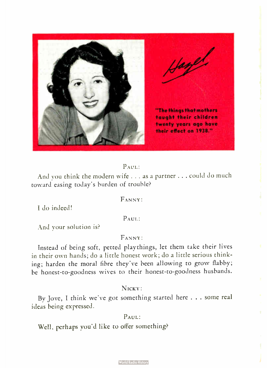

# PAUL:

And you think the modern wife . . . as a partner . . . could do much toward easing today's burden of trouble?

# FANNY:

Ido indeed!

# PAUL:

And your solution is?

# FANNY:

Instead of being soft, petted playthings, let them take their lives in their own hands; do a little honest work; do a little serious thinking; harden the moral fibre they've been allowing to grow flabby; be honest-to-goodness wives to their honest-to-goodness husbands.

## NICKY:

By Jove, I think we've got something started here . . . some real ideas being expressed.

## PAUL:

Well, perhaps you'd like to offer something?

**World Radio History**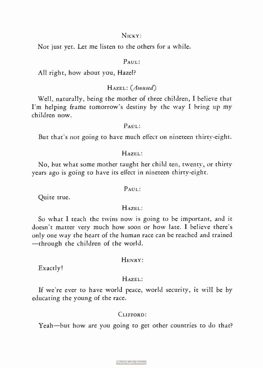# NICKY:

Not just yet. Let me listen to the others for a while.

#### PAUL:

All right, how about you, Hazel?

# HAZEL: (Amused)

Well, naturally, being the mother of three children, I believe that I'm helping frame tomorrow's destiny by the way I bring up my children now.

#### PAUL:

But that's not going to have much effect on nineteen thirty-eight.

# HAZEL:

No, but what some mother taught her child ten, twenty, or thirty years ago is going to have its effect in nineteen thirty-eight.

## PAUL:

Quite true.

#### HAZEL:

So what I teach the twins now is going to be important, and it doesn't matter very much how soon or how late. I believe there's only one way the heart of the human race can be reached and trained —through the children of the world.

#### HENRY:

Exactly!

## HAZEL:

If we're ever to have world peace, world security, it will be by educating the young of the race.

#### CLIFFORD:

Yeah—but how are you going to get other countries to do that?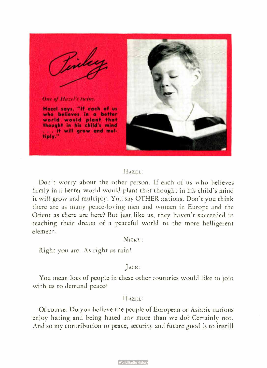

## HAZEL:

Don't worry about the other person. If each of us who believes firmly in a better world would plant that thought in his child's mind it will grow and multiply. You say OTHER nations. Don't you think there are as many peace-loving men and women in Europe and the Orient as there are here? But just like us, they haven't succeeded in teaching their dream of a peaceful world to the more belligerent element.

# NICKY:

Right you are. As right as rain!

## JACK:

You mean lots of people in these other countries would like to join with us to demand peace?

# HAZEL:

Of course. Do you believe the people of European or Asiatic nations enjoy hating and being hated any more than we do? Certainly not. And so my contribution to peace, security and future good is to instill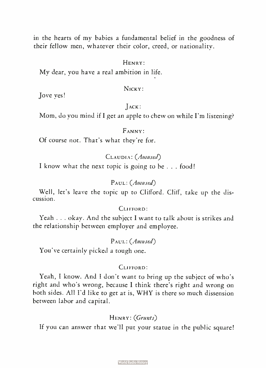in the hearts of my babies a fundamental belief in the goodness of their fellow men, whatever their color, creed, or nationality.

## HENRY:

My dear, you have a real ambition in life.

#### NICKY:

Jove yes!

#### JACK:

Mom, do you mind if I get an apple to chew on while I'm listening?

# FANNY:

Of course not. That's what they're for.

# CLAUDIA: (Amused)

I know what the next topic is going to be . . . food!

# PAUL: (Amused)

Well, let's leave the topic up to Clifford. Cliff, take up the discussion.

#### CLIFFORD:

Yeah . . . okay. And the subject I want to talk about is strikes and the relationship between employer and employee.

## PAUL: (Amused)

You've certainly picked a tough one.

#### CLIFFORD:

Yeah, I know. And I don't want to bring up the subject of who's right and who's wrong, because I think there's right and wrong on both sides. All I'd like to get at is, WHY is there so much dissension between labor and capital.

# HENRY: (Grunts)

If you can answer that we'll put your statue in the public square!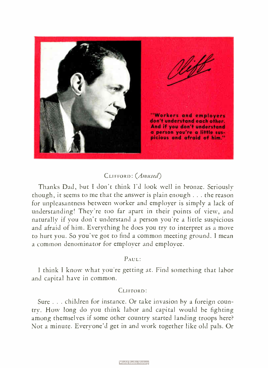

# CLIFFORD: (Amused)

Thanks Dad, but I don't think I'd look well in bronze. Seriously though, it seems to me that the answer is plain enough . . . the reason for unpleasantness between worker and employer is simply a lack of understanding! They're too far apart in their points of view, and naturally if you don't understand a person you're a little suspicious and afraid of him. Everything he does you try to interpret as a move to hurt you. So you've got to find a common meeting ground. I mean a common denominator for employer and employee.

# PAUL:

I think I know what you're getting at. Find something that labor and capital have in common.

#### CLIFFORD:

Sure . . . children for instance. Or take invasion by a foreign country. How long do you think labor and capital would be fighting among themselves if some other country started landing troops here? Not a minute. Everyone'd get in and work together like old pals. Or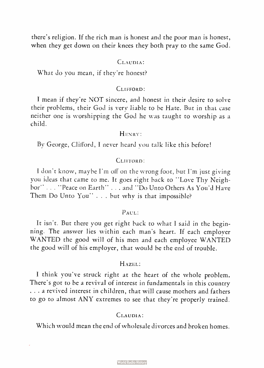there's religion. If the rich man is honest and the poor man is honest, when they get down on their knees they both pray to the same God.

## CLAUDIA:

What do you mean, if they're honest?

# CLIFFORD:

I mean if they're NOT sincere, and honest in their desire to solve their problems, their God is very liable to be Hate. But in that case neither one is worshipping the God he was taught to worship as a child.

#### HENRY:

By George, Clifford, I never heard you talk like this before!

#### CLIFFORD:

I don't know, maybe I'm off on the wrong foot, but I'm just giving you ideas that came to me. It goes right back to " Love Thy Neighbor" . . . " Peace on Earth" . . . and " Do Unto Others As You'd Have Them Do Unto You" . . . but why is that impossible?

#### PAUL:

It isn't. But there you get right back to what I said in the beginning. The answer lies within each man's heart. If each employer WANTED the good will of his men and each employee WANTED the good will of his employer, that would be the end of trouble.

#### HAZEL:

I think you've struck right at the heart of the whole problem. There's got to be a revival of interest in fundamentals in this country . . . a revived interest in children, that will cause mothers and fathers to go to almost ANY extremes to see that they're properly trained.

## CLAUDIA:

Which would mean the end of wholesale divorces and broken homes.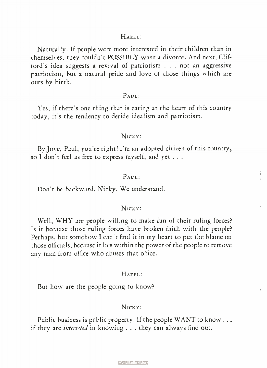#### HAZEL:

Naturally. If people were more interested in their children than in themselves, they couldn't POSSIBLY want a divorce. And next, Clifford's idea suggests a revival of patriotism . . . not an aggressive patriotism, but a natural pride and love of those things which are ours by birth.

#### PAUL:

Yes, if there's one thing that is eating at the heart of this country today, it's the tendency to deride idealism and patriotism.

# NICKY:

By Jove, Paul, you're right! I'm an adopted citizen of this country, so I don't feel as free to express myself, and yet . . .

#### PAUL:

Don't be backward, Nicky. We understand.

#### NICKY:

Well, WHY are people willing to make fun of their ruling forces? Is it because those ruling forces have broken faith with the people? Perhaps, but somehow I can't find it in my heart to put the blame on those officials, because it lies within the power of the people to remove any man from office who abuses that office.

#### HAZEL:

1

But how are the people going to know?

#### NICKY:

Public business is public property. If the people WANT to know... if they are interested in knowing . . . they can always find out.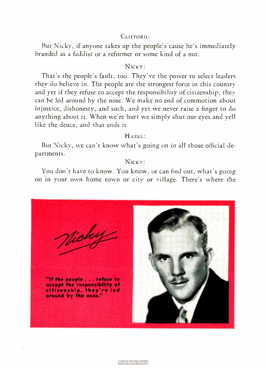# CLIFFORD:

But Nicky, if anyone takes up the people's cause he's immediately branded as a faddist or a reformer or some kind of a nut.

# $N_{\text{ICKY}}$

That's the people's fault, too. They've the power to select leaders they do believe in. The people are the strongest force in this country and yet if they refuse to accept the responsibility of citizenship, they can be led around by the nose. We make no end of commotion about injustice, dishonesty, and such, and yet we never raise a finger to do anything about it. When we're hurt we simply shut our eves and yell like the deuce, and that ends it.

#### HAZEL:

But Nicky, we can't know what's going on in all those official departments.

# Nicxy:

You don't have to know. You know, or can find out, what's going on in your own home town or city or village. There's where the

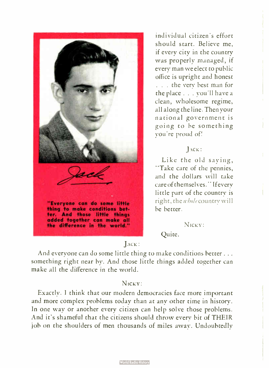

individual citizen's effort should start. Believe me, if every city in the country was properly managed, if every man we elect to public office is upright and honest . . . the very best man for the place . . . you'll have a clean, wholesome regime, all along the line. Then your national government is going to he something you're proud of!

## JACK:

Like the old saying, "Take care of the pennies, and the dollars will take care of themselves." If every little part of the country is right, the whole country will he better.

NICK Y:

# Quite.

# JACK:

And everyone can do some little thing to make conditions better... something right near by. And those little things added together can make all the difference in the world.

# N<sub>ICKY</sub>:

Exactly. I think that our modern democracies face more important and more complex problems today than at any other time in history. In one way or another every citizen can help solve those problems. And it's shameful that the citizens should throw every bit of THEIR job on the shoulders of men thousands of miles away. Undoubtedly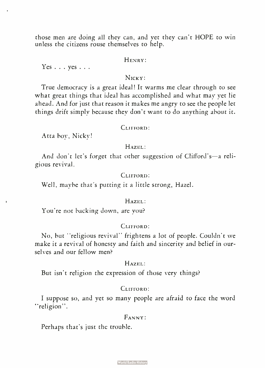those men are doing all they can, and yet they can't HOPE to win unless the citizens rouse themselves to help.

# HENRY:

 $Yes . . . vcs . . .$ 

# NICKY:

True democracy is a great ideal! It warms me clear through to see what great things that ideal has accomplished and what may yet lie ahead. And for just that reason it makes me angry to see the people let things drift simply because they don't want to do anything about it.

#### CLIFFORD:

Atta boy, Nicky!

#### HAZEL:

And don't let's forget that other suggestion of Clifford's—a religious revival.

#### CLIFFORD:

Well, maybe that's putting it a little strong, Hazel.

#### HAZEL:

You're not backing down, are you?

#### CLIFFORD:

No, but "religious revival" frightens a lot of people. Couldn't we make it a revival of honesty and faith and sincerity and belief in ourselves and our fellow men?

# HAZEL:

But isn't religion the expression of those very things?

# CLIFFORD:

I suppose so, and yet so many people are afraid to face the word "religion".

## FANNY:

Perhaps that's just the trouble.

**World Radio History**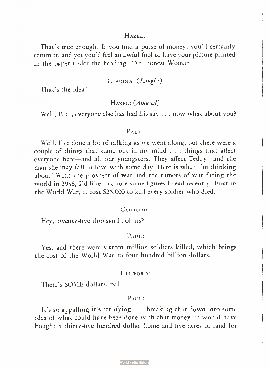#### HAZEL:

That's true enough. If you find a purse of money, you'd certainly return it, and yet you'd feel an awful fool to have your picture printed in the paper under the heading "An Honest Woman".

# CLAUDIA: (Laughs)

That's the idea!

# HAZEL: (Amused)

Well, Paul, everyone else has had his say . . . now what about you?

#### PAUL:

Well, I've done a lot of talking as we went along, but there were a couple of things that stand out in my mind . . . things that affect everyone here—and all our youngsters. They affect Teddy—and the man she may fall in love with some day. Here is what I'm thinking about! With the prospect of war and the rumors of war facing the world in 1938, I'd like to quote some figures I read recently. First in the World War, it cost \$25,000 to kill every soldier who died.

#### CLIFFORD:

Hey, twenty-five thousand dollars?

#### PAUL:

Yes, and there were sixteen million soldiers killed, which brings the cost of the World War to four hundred billion dollars.

#### CLIFFORD:

Them's SOME dollars, pal.

# $p_{AIII}$ :

It's so appalling it's terrifying . . . breaking that down into some idea of what could have been done with that money, it would have bought a thirty-five hundred dollar home and five acres of land for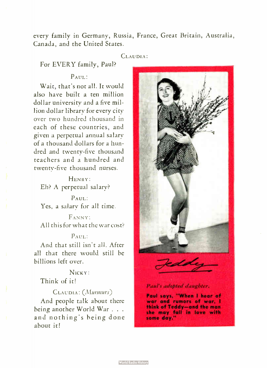every family in Germany, Russia, France, Great Britain, Australia, Canada, and the United States.

#### CLAUDIA:

# For EVERY family, Paul?

# PAUL:

Wait, that's not all. It would also have built a ten million dollar university and a five million dollar library for every city over two hundred thousand in each of these countries, and given a perpetual annual salary of a thousand dollars for a hundred and twenty-five thousand teachers and a hundred and twenty-five thousand nurses.

HENRY : Eh? A perpetual salary?

PAUL: Yes, a salary for all time.

FANNY: All this for what the war cost?

# PAUL:

And that still isn't all. After all that there would still be billions left over.

# NICKY:

# Think of it!

## CLAUDIA: (Murmurs)

And people talk about there being another World War . . . and nothing's being done about it!



Paul's adopted daughter.

Paul says, " When I hear of war and rumors of war, I think of Teddy— and the man she may fall in love with some day."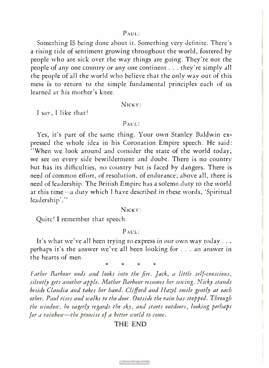PAUL:

Something IS being done about it. Something very definite. There's a rising tide of sentiment growing throughout the world, fostered by people who are sick over the way things are going. They're not the people of any one country or any one continent . . . they're simply all the people of all the world who believe that the only way out of this mess is to return to the simple fundamental principles each of us learned at his mother's knee.

NICKY:

I say, I like that!

#### PAUL:

Yes, it's part of the same thing. Your own Stanley Baldwin expressed the whole idea in his Coronation Empire speech. He said: "When we look around and consider the state of the world today, we see on every side bewilderment and doubt. There is no country but has its difficulties, no country but is faced by dangers. There is need of common effort, of resolution, of endurance; above all, there is need of leadership. The British Empire has a solemn duty to the world at this time—a duty which I have described in these words, 'Spiritual leadership'."

#### NICKY:

Quite! I remember that speech.

#### PAUL:

It's what we've all been trying to express in our own way today... perhaps it's the answer we've all been looking for . . . an answer in the hearts of men.

Father Barbour nods and looks into the fire. Jack, a little self-conscious, silently gets another apple. Mother Barbour resumes her sewing. Nicky stands beside Claudia and takes her hand. Clifford and Hazel smile gently at each other. Paul rises and walks to the door. Outside the rain has stopped. Through the window, he eagerly regards the sky, and starts outdoors, looking perhaps for a rainbow—the promise of a better world to come.

# THE END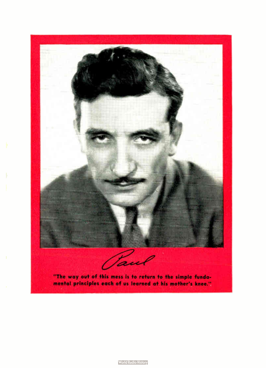

**World Radio History**